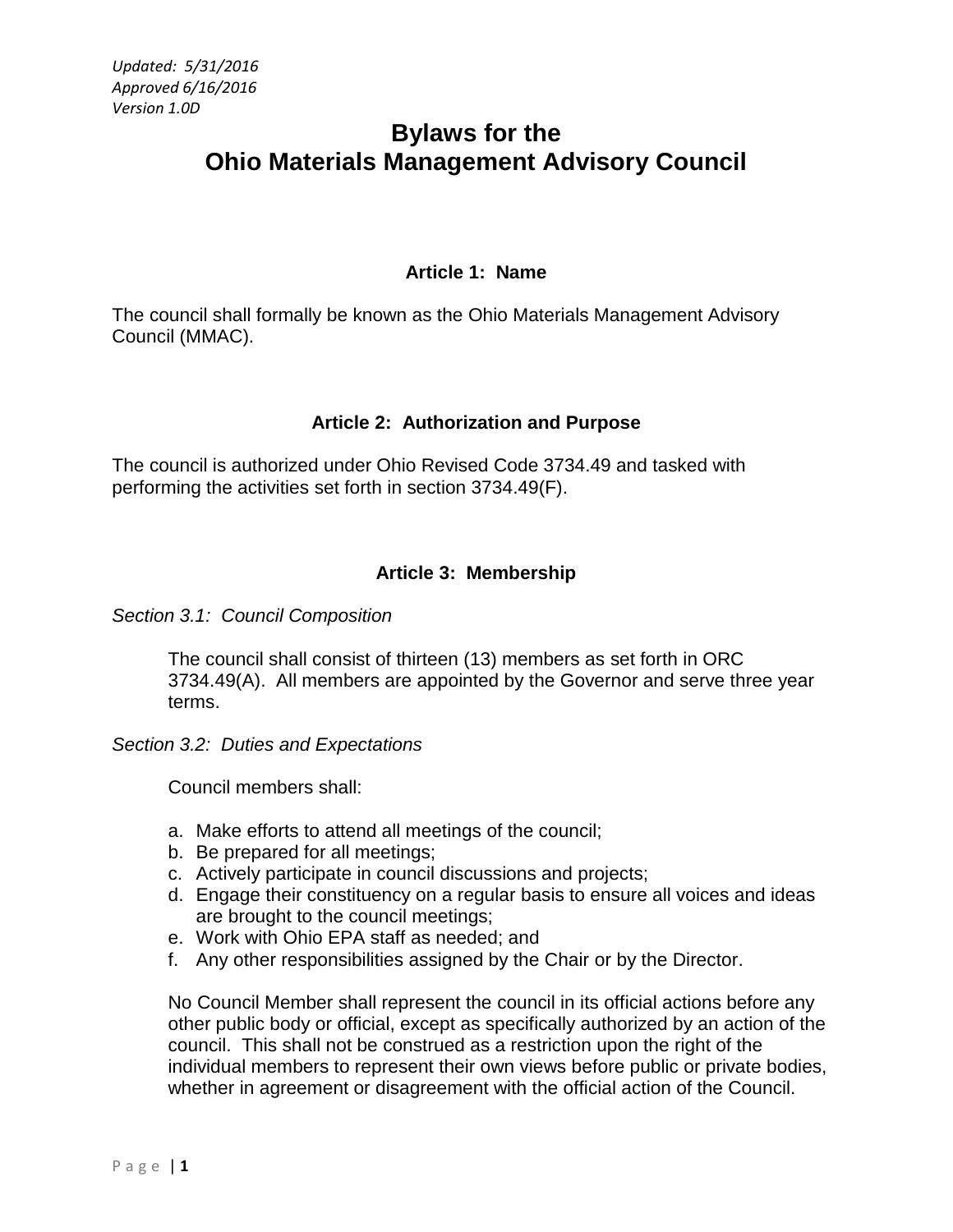# **Bylaws for the Ohio Materials Management Advisory Council**

## **Article 1: Name**

The council shall formally be known as the Ohio Materials Management Advisory Council (MMAC).

# **Article 2: Authorization and Purpose**

The council is authorized under Ohio Revised Code 3734.49 and tasked with performing the activities set forth in section 3734.49(F).

# **Article 3: Membership**

*Section 3.1: Council Composition*

The council shall consist of thirteen (13) members as set forth in ORC 3734.49(A). All members are appointed by the Governor and serve three year terms.

*Section 3.2: Duties and Expectations*

Council members shall:

- a. Make efforts to attend all meetings of the council;
- b. Be prepared for all meetings;
- c. Actively participate in council discussions and projects;
- d. Engage their constituency on a regular basis to ensure all voices and ideas are brought to the council meetings;
- e. Work with Ohio EPA staff as needed; and
- f. Any other responsibilities assigned by the Chair or by the Director.

No Council Member shall represent the council in its official actions before any other public body or official, except as specifically authorized by an action of the council. This shall not be construed as a restriction upon the right of the individual members to represent their own views before public or private bodies, whether in agreement or disagreement with the official action of the Council.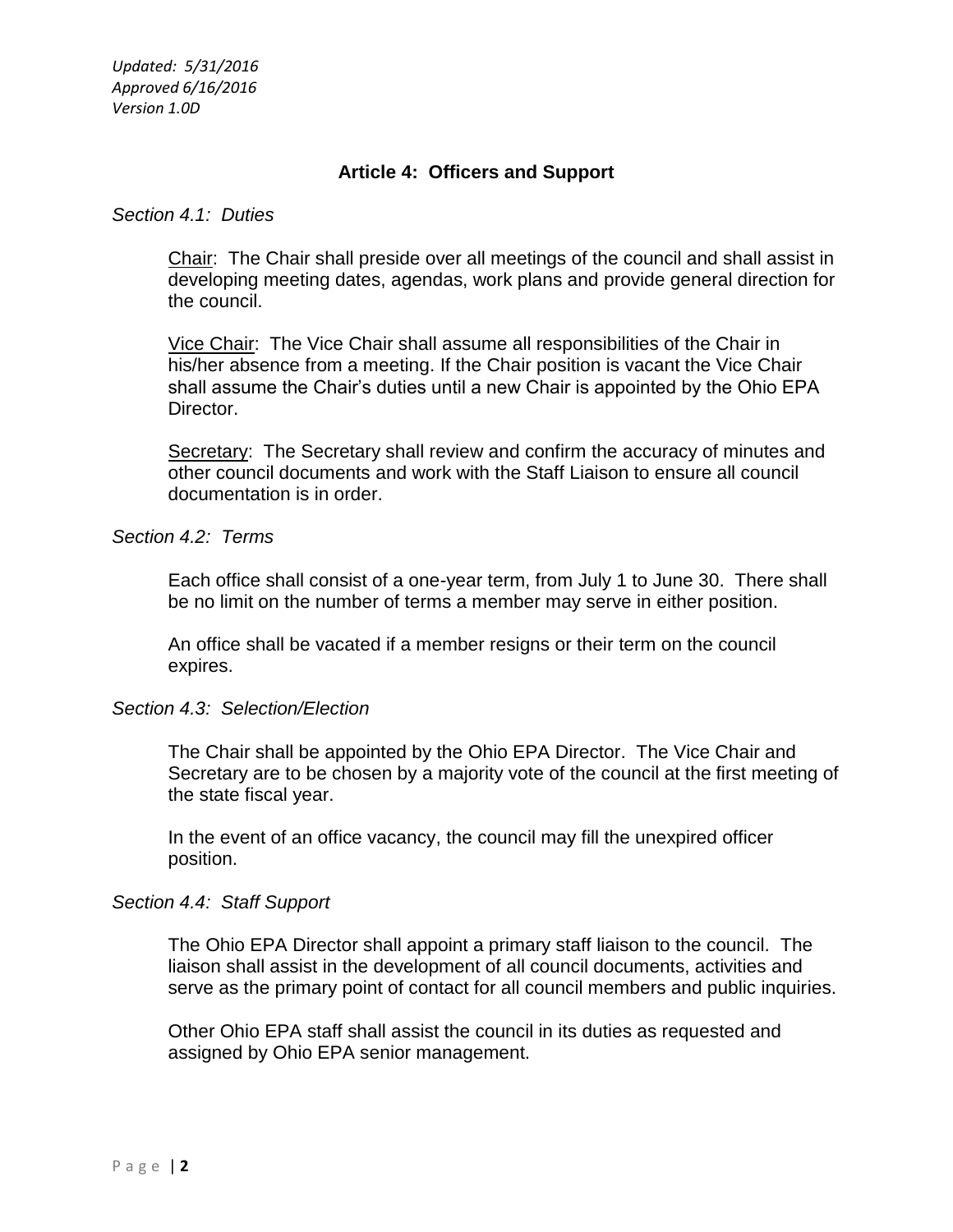## **Article 4: Officers and Support**

#### *Section 4.1: Duties*

Chair: The Chair shall preside over all meetings of the council and shall assist in developing meeting dates, agendas, work plans and provide general direction for the council.

Vice Chair: The Vice Chair shall assume all responsibilities of the Chair in his/her absence from a meeting. If the Chair position is vacant the Vice Chair shall assume the Chair's duties until a new Chair is appointed by the Ohio EPA Director.

Secretary: The Secretary shall review and confirm the accuracy of minutes and other council documents and work with the Staff Liaison to ensure all council documentation is in order.

#### *Section 4.2: Terms*

Each office shall consist of a one-year term, from July 1 to June 30. There shall be no limit on the number of terms a member may serve in either position.

An office shall be vacated if a member resigns or their term on the council expires.

## *Section 4.3: Selection/Election*

The Chair shall be appointed by the Ohio EPA Director. The Vice Chair and Secretary are to be chosen by a majority vote of the council at the first meeting of the state fiscal year.

In the event of an office vacancy, the council may fill the unexpired officer position.

#### *Section 4.4: Staff Support*

The Ohio EPA Director shall appoint a primary staff liaison to the council. The liaison shall assist in the development of all council documents, activities and serve as the primary point of contact for all council members and public inquiries.

Other Ohio EPA staff shall assist the council in its duties as requested and assigned by Ohio EPA senior management.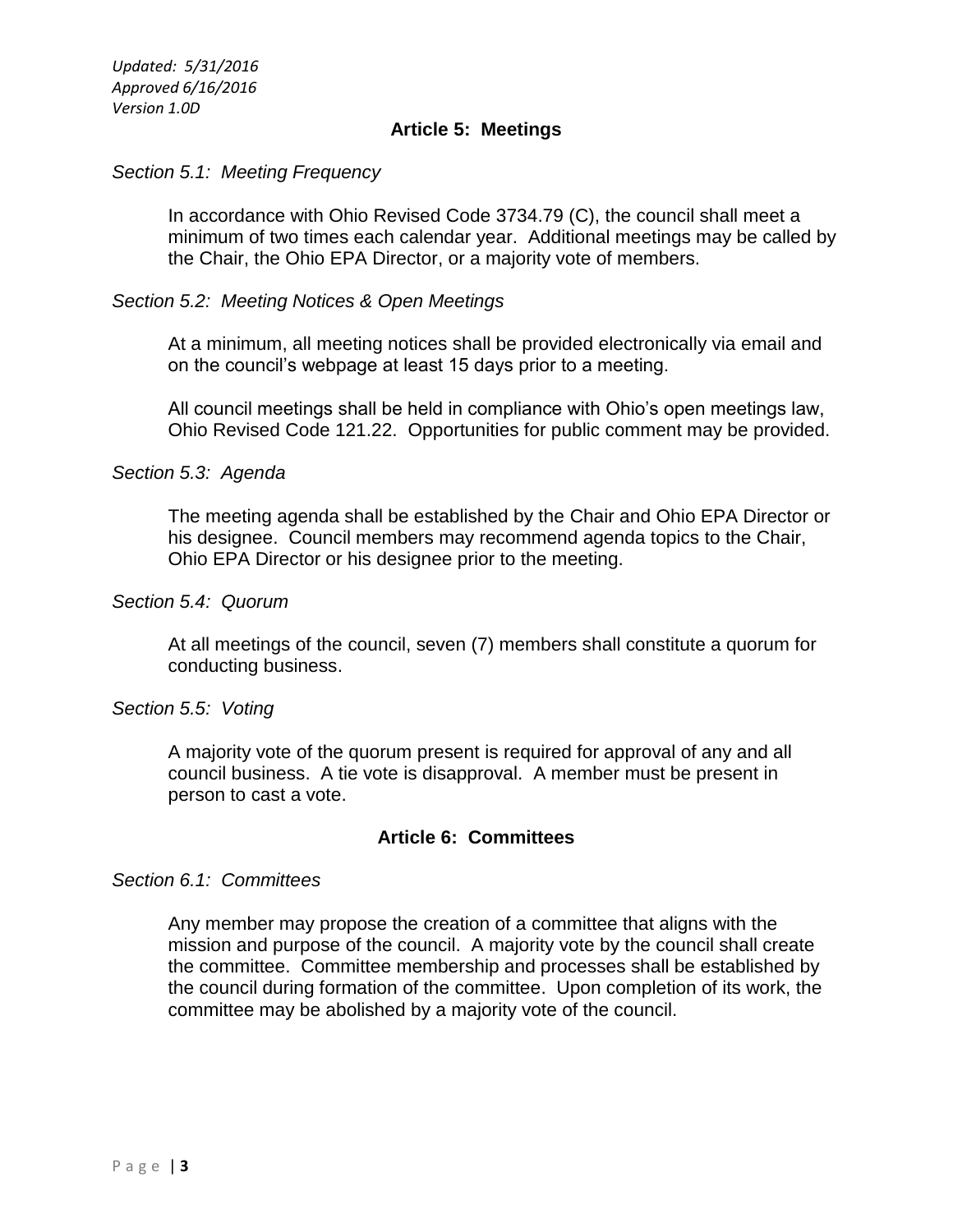## **Article 5: Meetings**

## *Section 5.1: Meeting Frequency*

In accordance with Ohio Revised Code 3734.79 (C), the council shall meet a minimum of two times each calendar year. Additional meetings may be called by the Chair, the Ohio EPA Director, or a majority vote of members.

### *Section 5.2: Meeting Notices & Open Meetings*

At a minimum, all meeting notices shall be provided electronically via email and on the council's webpage at least 15 days prior to a meeting.

All council meetings shall be held in compliance with Ohio's open meetings law, Ohio Revised Code 121.22. Opportunities for public comment may be provided.

#### *Section 5.3: Agenda*

The meeting agenda shall be established by the Chair and Ohio EPA Director or his designee. Council members may recommend agenda topics to the Chair, Ohio EPA Director or his designee prior to the meeting.

## *Section 5.4: Quorum*

At all meetings of the council, seven (7) members shall constitute a quorum for conducting business.

#### *Section 5.5: Voting*

A majority vote of the quorum present is required for approval of any and all council business. A tie vote is disapproval. A member must be present in person to cast a vote.

## **Article 6: Committees**

#### *Section 6.1: Committees*

Any member may propose the creation of a committee that aligns with the mission and purpose of the council. A majority vote by the council shall create the committee. Committee membership and processes shall be established by the council during formation of the committee. Upon completion of its work, the committee may be abolished by a majority vote of the council.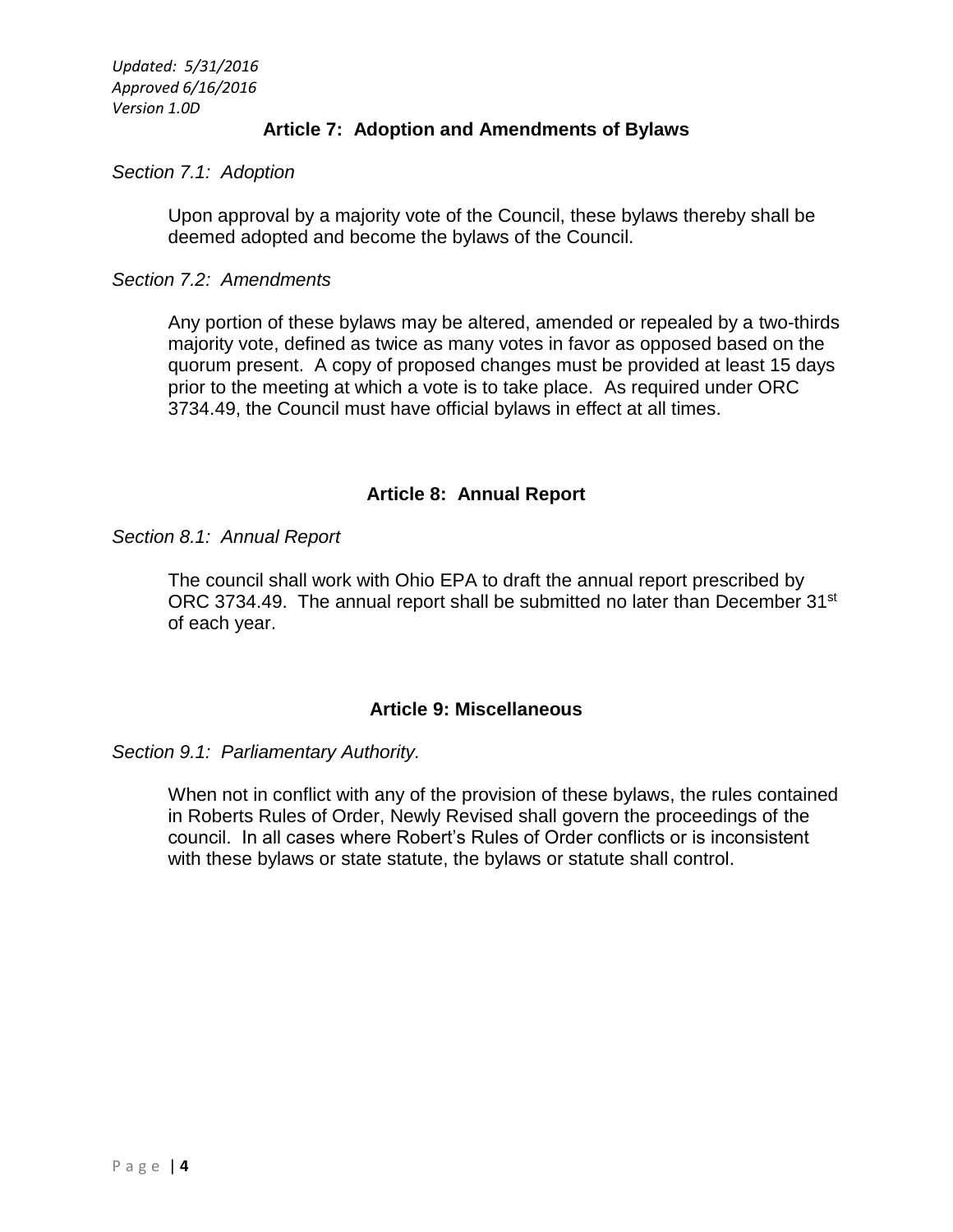## **Article 7: Adoption and Amendments of Bylaws**

## *Section 7.1: Adoption*

Upon approval by a majority vote of the Council, these bylaws thereby shall be deemed adopted and become the bylaws of the Council.

## *Section 7.2: Amendments*

Any portion of these bylaws may be altered, amended or repealed by a two-thirds majority vote, defined as twice as many votes in favor as opposed based on the quorum present. A copy of proposed changes must be provided at least 15 days prior to the meeting at which a vote is to take place. As required under ORC 3734.49, the Council must have official bylaws in effect at all times.

## **Article 8: Annual Report**

*Section 8.1: Annual Report*

The council shall work with Ohio EPA to draft the annual report prescribed by ORC 3734.49. The annual report shall be submitted no later than December 31<sup>st</sup> of each year.

## **Article 9: Miscellaneous**

#### *Section 9.1: Parliamentary Authority.*

When not in conflict with any of the provision of these bylaws, the rules contained in Roberts Rules of Order, Newly Revised shall govern the proceedings of the council. In all cases where Robert's Rules of Order conflicts or is inconsistent with these bylaws or state statute, the bylaws or statute shall control.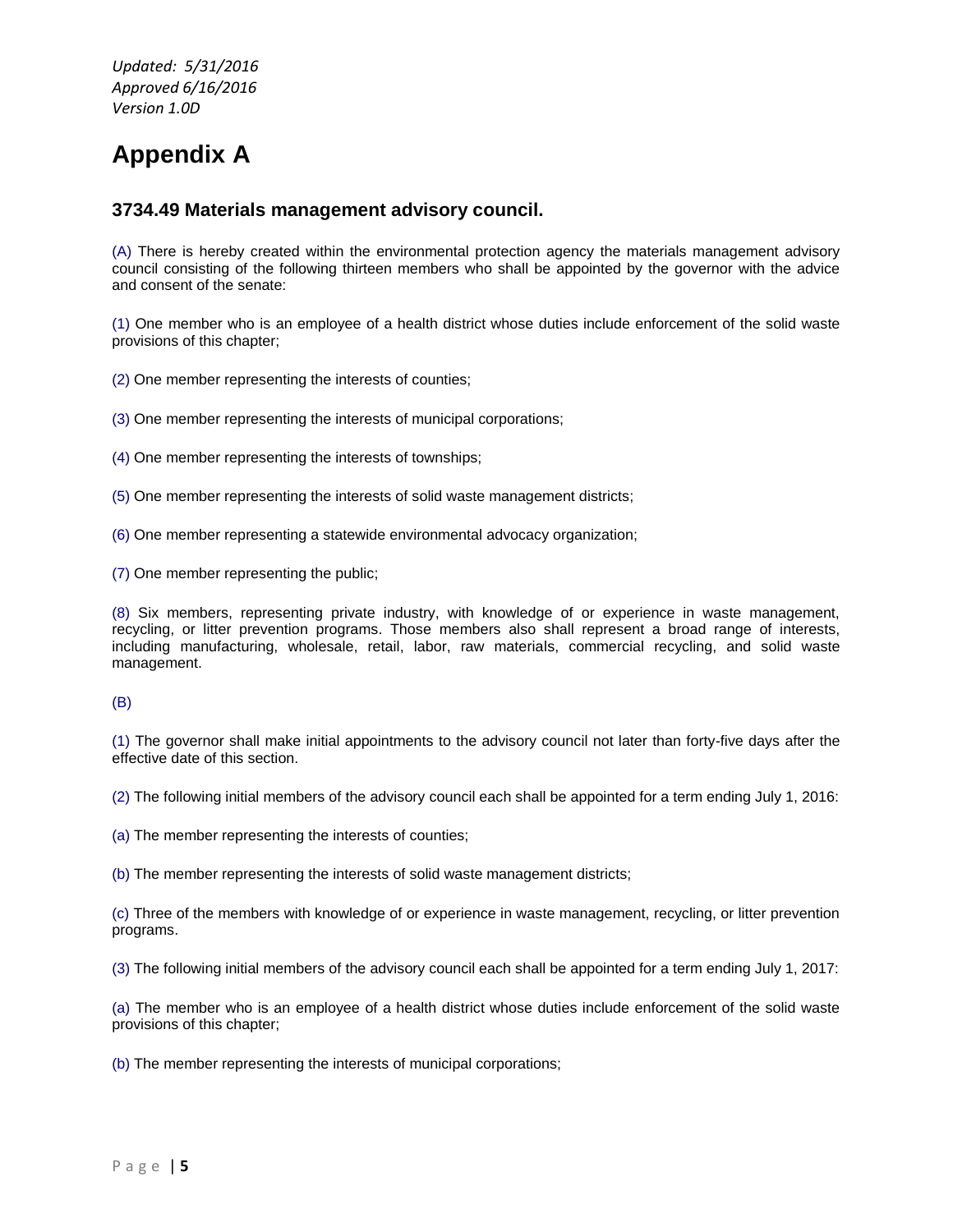# **Appendix A**

#### **3734.49 Materials management advisory council.**

(A) There is hereby created within the environmental protection agency the materials management advisory council consisting of the following thirteen members who shall be appointed by the governor with the advice and consent of the senate:

(1) One member who is an employee of a health district whose duties include enforcement of the solid waste provisions of this chapter;

(2) One member representing the interests of counties;

(3) One member representing the interests of municipal corporations;

(4) One member representing the interests of townships;

(5) One member representing the interests of solid waste management districts;

(6) One member representing a statewide environmental advocacy organization;

(7) One member representing the public;

(8) Six members, representing private industry, with knowledge of or experience in waste management, recycling, or litter prevention programs. Those members also shall represent a broad range of interests, including manufacturing, wholesale, retail, labor, raw materials, commercial recycling, and solid waste management.

#### (B)

(1) The governor shall make initial appointments to the advisory council not later than forty-five days after the effective date of this section.

(2) The following initial members of the advisory council each shall be appointed for a term ending July 1, 2016:

(a) The member representing the interests of counties;

(b) The member representing the interests of solid waste management districts;

(c) Three of the members with knowledge of or experience in waste management, recycling, or litter prevention programs.

(3) The following initial members of the advisory council each shall be appointed for a term ending July 1, 2017:

(a) The member who is an employee of a health district whose duties include enforcement of the solid waste provisions of this chapter;

(b) The member representing the interests of municipal corporations;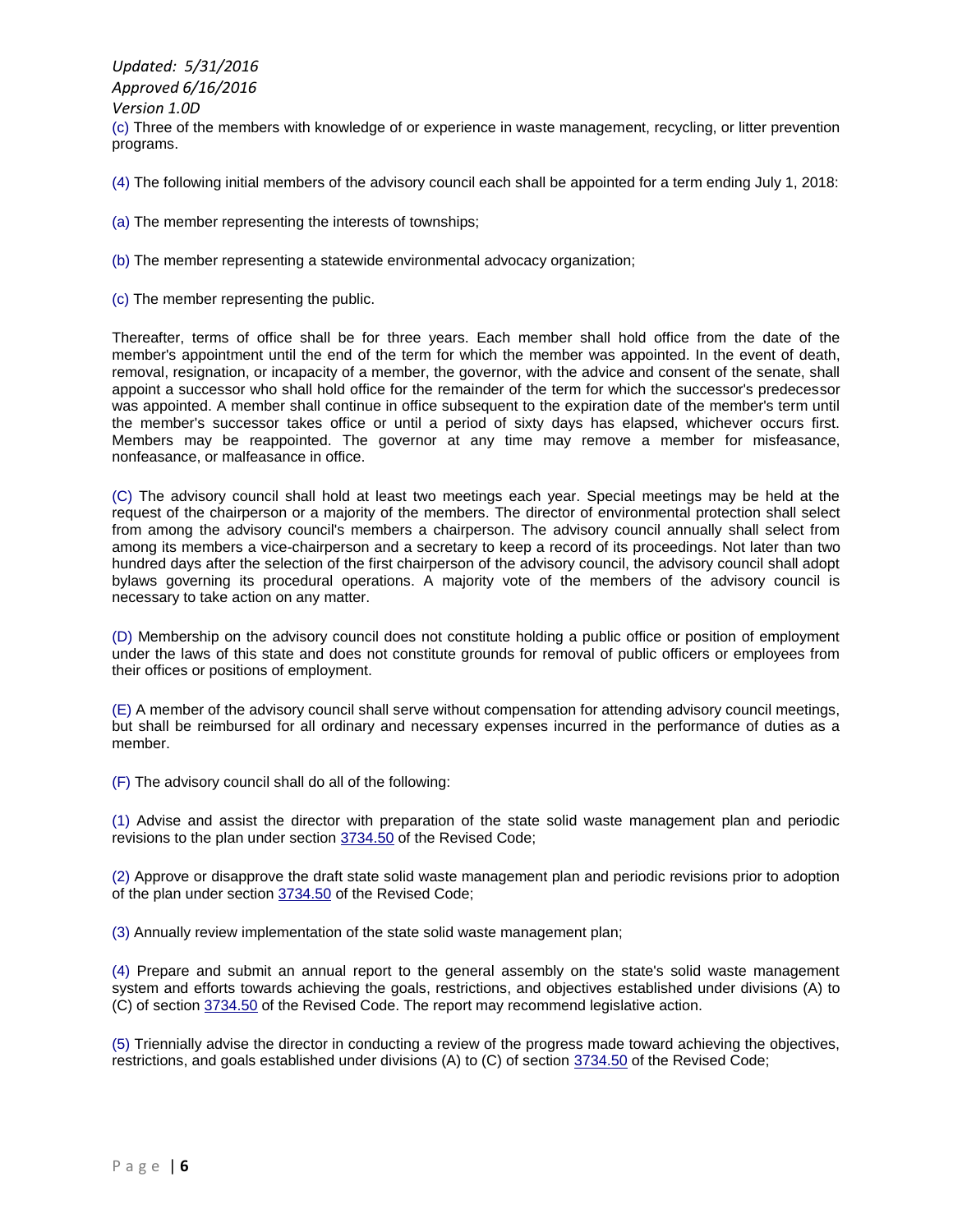*Updated: 5/31/2016 Approved 6/16/2016 Version 1.0D* (c) Three of the members with knowledge of or experience in waste management, recycling, or litter prevention programs.

(4) The following initial members of the advisory council each shall be appointed for a term ending July 1, 2018:

- (a) The member representing the interests of townships;
- (b) The member representing a statewide environmental advocacy organization;
- (c) The member representing the public.

Thereafter, terms of office shall be for three years. Each member shall hold office from the date of the member's appointment until the end of the term for which the member was appointed. In the event of death, removal, resignation, or incapacity of a member, the governor, with the advice and consent of the senate, shall appoint a successor who shall hold office for the remainder of the term for which the successor's predecessor was appointed. A member shall continue in office subsequent to the expiration date of the member's term until the member's successor takes office or until a period of sixty days has elapsed, whichever occurs first. Members may be reappointed. The governor at any time may remove a member for misfeasance, nonfeasance, or malfeasance in office.

(C) The advisory council shall hold at least two meetings each year. Special meetings may be held at the request of the chairperson or a majority of the members. The director of environmental protection shall select from among the advisory council's members a chairperson. The advisory council annually shall select from among its members a vice-chairperson and a secretary to keep a record of its proceedings. Not later than two hundred days after the selection of the first chairperson of the advisory council, the advisory council shall adopt bylaws governing its procedural operations. A majority vote of the members of the advisory council is necessary to take action on any matter.

(D) Membership on the advisory council does not constitute holding a public office or position of employment under the laws of this state and does not constitute grounds for removal of public officers or employees from their offices or positions of employment.

(E) A member of the advisory council shall serve without compensation for attending advisory council meetings, but shall be reimbursed for all ordinary and necessary expenses incurred in the performance of duties as a member.

(F) The advisory council shall do all of the following:

(1) Advise and assist the director with preparation of the state solid waste management plan and periodic revisions to the plan under section [3734.50](http://codes.ohio.gov/orc/3734.50) of the Revised Code;

(2) Approve or disapprove the draft state solid waste management plan and periodic revisions prior to adoption of the plan under sectio[n 3734.50](http://codes.ohio.gov/orc/3734.50) of the Revised Code;

(3) Annually review implementation of the state solid waste management plan;

(4) Prepare and submit an annual report to the general assembly on the state's solid waste management system and efforts towards achieving the goals, restrictions, and objectives established under divisions (A) to (C) of section [3734.50](http://codes.ohio.gov/orc/3734.50) of the Revised Code. The report may recommend legislative action.

(5) Triennially advise the director in conducting a review of the progress made toward achieving the objectives, restrictions, and goals established under divisions (A) to (C) of sectio[n 3734.50](http://codes.ohio.gov/orc/3734.50) of the Revised Code;